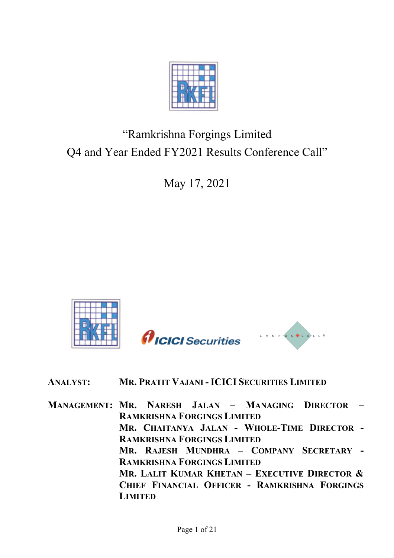

# "Ramkrishna Forgings Limited Q4 and Year Ended FY2021 Results Conference Call"

May 17, 2021



# **ANALYST: MR. PRATIT VAJANI - ICICI SECURITIES LIMITED**

**MANAGEMENT: MR. NARESH JALAN – MANAGING DIRECTOR – RAMKRISHNA FORGINGS LIMITED MR. CHAITANYA JALAN - WHOLE-TIME DIRECTOR - RAMKRISHNA FORGINGS LIMITED MR. RAJESH MUNDHRA – COMPANY SECRETARY - RAMKRISHNA FORGINGS LIMITED MR. LALIT KUMAR KHETAN – EXECUTIVE DIRECTOR & CHIEF FINANCIAL OFFICER - RAMKRISHNA FORGINGS LIMITED**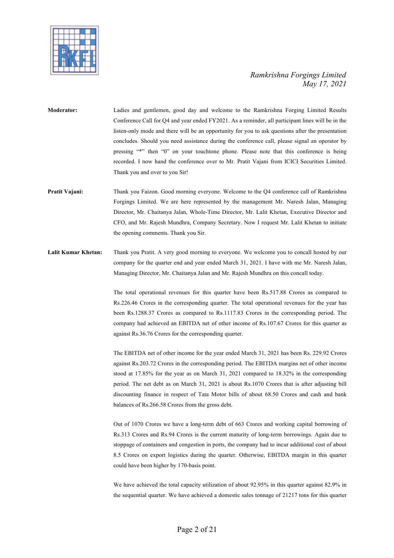

**Moderator:** Ladies and gentlemen, good day and welcome to the Ramkrishna Forging Limited Results Conference Call for Q4 and year ended FY2021. As a reminder, all participant lines will be in the listen-only mode and there will be an opportunity for you to ask questions after the presentation concludes. Should you need assistance during the conference call, please signal an operator by pressing "\*" then "0" on your touchtone phone. Please note that this conference is being recorded. I now hand the conference over to Mr. Pratit Vajani from ICICI Securities Limited. Thank you and over to you Sir!

Pratit Vajani: Thank you Faizon. Good morning everyone. Welcome to the Q4 conference call of Ramkrishna Forgings Limited. We are here represented by the management Mr. Naresh Jalan, Managing Director, Mr. Chaitanya Jalan, Whole-Time Director, Mr. Lalit Khetan, Executive Director and CFO, and Mr. Rajesh Mundhra, Company Secretary. Now I request Mr. Lalit Khetan to initiate the opening comments. Thank you Sir.

**Lalit Kumar Khetan:** Thank you Pratit. A very good morning to everyone. We welcome you to concall hosted by our company for the quarter end and year ended March 31, 2021. I have with me Mr. Naresh Jalan, Managing Director, Mr. Chaitanya Jalan and Mr. Rajesh Mundhra on this concall today.

> The total operational revenues for this quarter have been Rs.517.88 Crores as compared to Rs.226.46 Crores in the corresponding quarter. The total operational revenues for the year has been Rs.1288.37 Crores as compared to Rs.1117.83 Crores in the corresponding period. The company had achieved an EBITDA net of other income of Rs.107.67 Crores for this quarter as against Rs.36.76 Crores for the corresponding quarter.

> The EBITDA net of other income for the year ended March 31, 2021 has been Rs. 229.92 Crores against Rs.203.72 Crores in the corresponding period. The EBITDA margins net of other income stood at 17.85% for the year as on March 31, 2021 compared to 18.32% in the corresponding period. The net debt as on March 31, 2021 is about Rs.1070 Crores that is after adjusting bill discounting finance in respect of Tata Motor bills of about 68.50 Crores and cash and bank balances of Rs.266.58 Crores from the gross debt.

> Out of 1070 Crores we have a long-term debt of 663 Crores and working capital borrowing of Rs.313 Crores and Rs.94 Crores is the current maturity of long-term borrowings. Again due to stoppage of containers and congestion in ports, the company had to incur additional cost of about 8.5 Crores on export logistics during the quarter. Otherwise, EBITDA margin in this quarter could have been higher by 170-basis point.

> We have achieved the total capacity utilization of about 92.95% in this quarter against 82.9% in the sequential quarter. We have achieved a domestic sales tonnage of 21217 tons for this quarter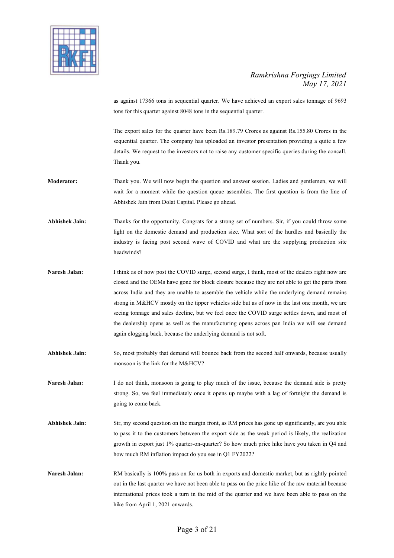

as against 17366 tons in sequential quarter. We have achieved an export sales tonnage of 9693 tons for this quarter against 8048 tons in the sequential quarter.

The export sales for the quarter have been Rs.189.79 Crores as against Rs.155.80 Crores in the sequential quarter. The company has uploaded an investor presentation providing a quite a few details. We request to the investors not to raise any customer specific queries during the concall. Thank you.

- **Moderator:** Thank you. We will now begin the question and answer session. Ladies and gentlemen, we will wait for a moment while the question queue assembles. The first question is from the line of Abhishek Jain from Dolat Capital. Please go ahead.
- **Abhishek Jain:** Thanks for the opportunity. Congrats for a strong set of numbers. Sir, if you could throw some light on the domestic demand and production size. What sort of the hurdles and basically the industry is facing post second wave of COVID and what are the supplying production site headwinds?
- Naresh Jalan: I think as of now post the COVID surge, second surge, I think, most of the dealers right now are closed and the OEMs have gone for block closure because they are not able to get the parts from across India and they are unable to assemble the vehicle while the underlying demand remains strong in M&HCV mostly on the tipper vehicles side but as of now in the last one month, we are seeing tonnage and sales decline, but we feel once the COVID surge settles down, and most of the dealership opens as well as the manufacturing opens across pan India we will see demand again clogging back, because the underlying demand is not soft.
- **Abhishek Jain:** So, most probably that demand will bounce back from the second half onwards, because usually monsoon is the link for the M&HCV?
- **Naresh Jalan:** I do not think, monsoon is going to play much of the issue, because the demand side is pretty strong. So, we feel immediately once it opens up maybe with a lag of fortnight the demand is going to come back.
- **Abhishek Jain:** Sir, my second question on the margin front, as RM prices has gone up significantly, are you able to pass it to the customers between the export side as the weak period is likely, the realization growth in export just 1% quarter-on-quarter? So how much price hike have you taken in Q4 and how much RM inflation impact do you see in Q1 FY2022?
- Naresh Jalan: RM basically is 100% pass on for us both in exports and domestic market, but as rightly pointed out in the last quarter we have not been able to pass on the price hike of the raw material because international prices took a turn in the mid of the quarter and we have been able to pass on the hike from April 1, 2021 onwards.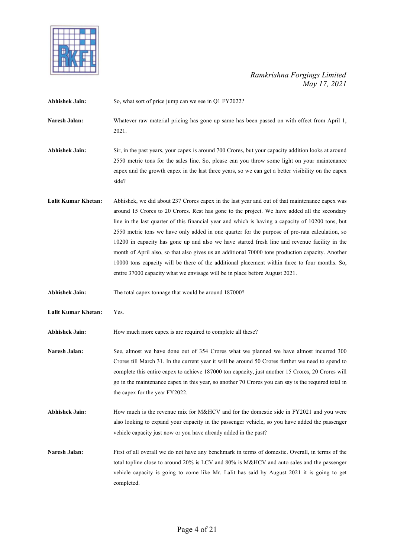

| <b>Abhishek Jain:</b>      | So, what sort of price jump can we see in Q1 FY2022?                                                                                                                                                                                                                                                                                                                                                                                                                                                                                                                                                                                                                                                                                                                                        |
|----------------------------|---------------------------------------------------------------------------------------------------------------------------------------------------------------------------------------------------------------------------------------------------------------------------------------------------------------------------------------------------------------------------------------------------------------------------------------------------------------------------------------------------------------------------------------------------------------------------------------------------------------------------------------------------------------------------------------------------------------------------------------------------------------------------------------------|
| Naresh Jalan:              | Whatever raw material pricing has gone up same has been passed on with effect from April 1,<br>2021.                                                                                                                                                                                                                                                                                                                                                                                                                                                                                                                                                                                                                                                                                        |
| <b>Abhishek Jain:</b>      | Sir, in the past years, your capex is around 700 Crores, but your capacity addition looks at around<br>2550 metric tons for the sales line. So, please can you throw some light on your maintenance<br>capex and the growth capex in the last three years, so we can get a better visibility on the capex<br>side?                                                                                                                                                                                                                                                                                                                                                                                                                                                                          |
| <b>Lalit Kumar Khetan:</b> | Abhishek, we did about 237 Crores capex in the last year and out of that maintenance capex was<br>around 15 Crores to 20 Crores. Rest has gone to the project. We have added all the secondary<br>line in the last quarter of this financial year and which is having a capacity of 10200 tons, but<br>2550 metric tons we have only added in one quarter for the purpose of pro-rata calculation, so<br>10200 in capacity has gone up and also we have started fresh line and revenue facility in the<br>month of April also, so that also gives us an additional 70000 tons production capacity. Another<br>10000 tons capacity will be there of the additional placement within three to four months. So,<br>entire 37000 capacity what we envisage will be in place before August 2021. |
| <b>Abhishek Jain:</b>      | The total capex tonnage that would be around 187000?                                                                                                                                                                                                                                                                                                                                                                                                                                                                                                                                                                                                                                                                                                                                        |
| <b>Lalit Kumar Khetan:</b> | Yes.                                                                                                                                                                                                                                                                                                                                                                                                                                                                                                                                                                                                                                                                                                                                                                                        |
| <b>Abhishek Jain:</b>      | How much more capex is are required to complete all these?                                                                                                                                                                                                                                                                                                                                                                                                                                                                                                                                                                                                                                                                                                                                  |
| Naresh Jalan:              | See, almost we have done out of 354 Crores what we planned we have almost incurred 300<br>Crores till March 31. In the current year it will be around 50 Crores further we need to spend to<br>complete this entire capex to achieve 187000 ton capacity, just another 15 Crores, 20 Crores will<br>go in the maintenance capex in this year, so another 70 Crores you can say is the required total in<br>the capex for the year FY2022.                                                                                                                                                                                                                                                                                                                                                   |
| <b>Abhishek Jain:</b>      | How much is the revenue mix for M&HCV and for the domestic side in FY2021 and you were<br>also looking to expand your capacity in the passenger vehicle, so you have added the passenger<br>vehicle capacity just now or you have already added in the past?                                                                                                                                                                                                                                                                                                                                                                                                                                                                                                                                |
| Naresh Jalan:              | First of all overall we do not have any benchmark in terms of domestic. Overall, in terms of the<br>total topline close to around 20% is LCV and 80% is M&HCV and auto sales and the passenger<br>vehicle capacity is going to come like Mr. Lalit has said by August 2021 it is going to get<br>completed.                                                                                                                                                                                                                                                                                                                                                                                                                                                                                 |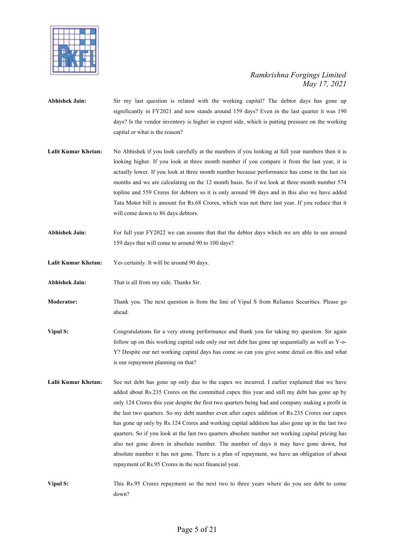

- **Abhishek Jain:** Sir my last question is related with the working capital? The debtor days has gone up significantly in FY2021 and now stands around 159 days? Even in the last quarter it was 190 days? Is the vendor inventory is higher in export side, which is putting pressure on the working capital or what is the reason?
- Lalit Kumar Khetan: No Abhishek if you look carefully at the numbers if you looking at full year numbers then it is looking higher. If you look at three month number if you compare it from the last year, it is actually lower. If you look at three month number because performance has come in the last six months and we are calculating on the 12 month basis. So if we look at three month number 574 topline and 559 Crores for debtors so it is only around 98 days and in this also we have added Tata Motor bill is amount for Rs.68 Crores, which was not there last year. If you reduce that it will come down to 86 days debtors.
- **Abhishek Jain:** For full year FY2022 we can assume that that the debtor days which we are able to see around 159 days that will come to around 90 to 100 days?
- **Lalit Kumar Khetan:** Yes certainly. It will be around 90 days.
- **Abhishek Jain:** That is all from my side. Thanks Sir.
- **Moderator:** Thank you. The next question is from the line of Vipul S from Reliance Securities. Please go ahead.
- **Vipul S:** Congratulations for a very strong performance and thank you for taking my question. Sir again follow up on this working capital side only our net debt has gone up sequentially as well as Y-o-Y? Despite our net working capital days has come so can you give some detail on this and what is our repayment planning on that?
- **Lalit Kumar Khetan:** See net debt has gone up only due to the capex we incurred. I earlier explained that we have added about Rs.235 Crores on the committed capex this year and still my debt has gone up by only 124 Crores this year despite the first two quarters being bad and company making a profit in the last two quarters. So my debt number even after capex addition of Rs.235 Crores our capex has gone up only by Rs.124 Crores and working capital addition has also gone up in the last two quarters. So if you look at the last two quarters absolute number net working capital pricing has also not gone down in absolute number. The number of days it may have gone down, but absolute number it has not gone. There is a plan of repayment, we have an obligation of about repayment of Rs.95 Crores in the next financial year.
- **Vipul S:** This Rs.95 Crores repayment so the next two to three years where do you see debt to come down?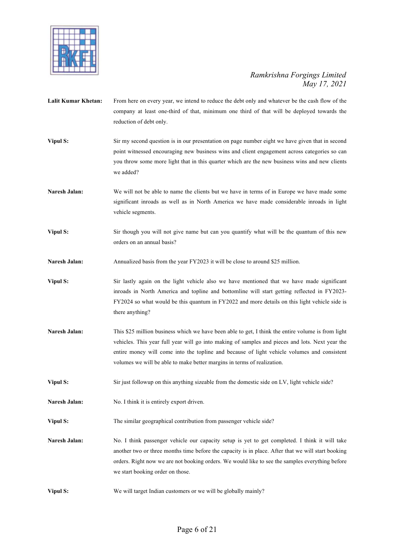

- **Lalit Kumar Khetan:** From here on every year, we intend to reduce the debt only and whatever be the cash flow of the company at least one-third of that, minimum one third of that will be deployed towards the reduction of debt only.
- **Vipul S:** Sir my second question is in our presentation on page number eight we have given that in second point witnessed encouraging new business wins and client engagement across categories so can you throw some more light that in this quarter which are the new business wins and new clients we added?
- **Naresh Jalan:** We will not be able to name the clients but we have in terms of in Europe we have made some significant inroads as well as in North America we have made considerable inroads in light vehicle segments.
- **Vipul S:** Sir though you will not give name but can you quantify what will be the quantum of this new orders on an annual basis?

Naresh Jalan: Annualized basis from the year FY2023 it will be close to around \$25 million.

- **Vipul S:** Sir lastly again on the light vehicle also we have mentioned that we have made significant inroads in North America and topline and bottomline will start getting reflected in FY2023- FY2024 so what would be this quantum in FY2022 and more details on this light vehicle side is there anything?
- **Naresh Jalan:** This \$25 million business which we have been able to get, I think the entire volume is from light vehicles. This year full year will go into making of samples and pieces and lots. Next year the entire money will come into the topline and because of light vehicle volumes and consistent volumes we will be able to make better margins in terms of realization.
- **Vipul S:** Sir just followup on this anything sizeable from the domestic side on LV, light vehicle side?
- Naresh Jalan: No. I think it is entirely export driven.
- **Vipul S:** The similar geographical contribution from passenger vehicle side?
- **Naresh Jalan:** No. I think passenger vehicle our capacity setup is yet to get completed. I think it will take another two or three months time before the capacity is in place. After that we will start booking orders. Right now we are not booking orders. We would like to see the samples everything before we start booking order on those.
- **Vipul S:** We will target Indian customers or we will be globally mainly?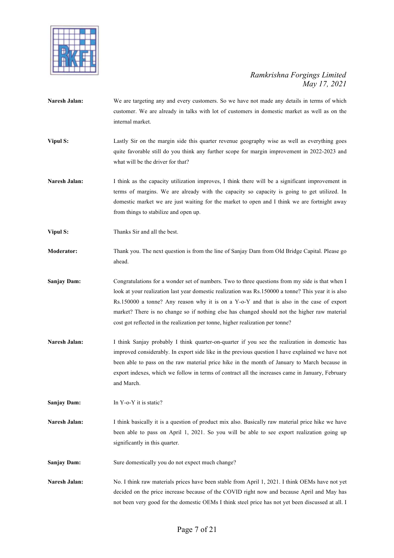

- **Naresh Jalan:** We are targeting any and every customers. So we have not made any details in terms of which customer. We are already in talks with lot of customers in domestic market as well as on the internal market.
- **Vipul S:** Lastly Sir on the margin side this quarter revenue geography wise as well as everything goes quite favorable still do you think any further scope for margin improvement in 2022-2023 and what will be the driver for that?
- **Naresh Jalan:** I think as the capacity utilization improves, I think there will be a significant improvement in terms of margins. We are already with the capacity so capacity is going to get utilized. In domestic market we are just waiting for the market to open and I think we are fortnight away from things to stabilize and open up.
- **Vipul S:** Thanks Sir and all the best.
- **Moderator:** Thank you. The next question is from the line of Sanjay Dam from Old Bridge Capital. Please go ahead.
- **Sanjay Dam:** Congratulations for a wonder set of numbers. Two to three questions from my side is that when I look at your realization last year domestic realization was Rs.150000 a tonne? This year it is also Rs.150000 a tonne? Any reason why it is on a Y-o-Y and that is also in the case of export market? There is no change so if nothing else has changed should not the higher raw material cost got reflected in the realization per tonne, higher realization per tonne?
- **Naresh Jalan:** I think Sanjay probably I think quarter-on-quarter if you see the realization in domestic has improved considerably. In export side like in the previous question I have explained we have not been able to pass on the raw material price hike in the month of January to March because in export indexes, which we follow in terms of contract all the increases came in January, February and March.

**Sanjay Dam:** In Y-o-Y it is static?

- **Naresh Jalan:** I think basically it is a question of product mix also. Basically raw material price hike we have been able to pass on April 1, 2021. So you will be able to see export realization going up significantly in this quarter.
- **Sanjay Dam:** Sure domestically you do not expect much change?
- **Naresh Jalan:** No. I think raw materials prices have been stable from April 1, 2021. I think OEMs have not yet decided on the price increase because of the COVID right now and because April and May has not been very good for the domestic OEMs I think steel price has not yet been discussed at all. I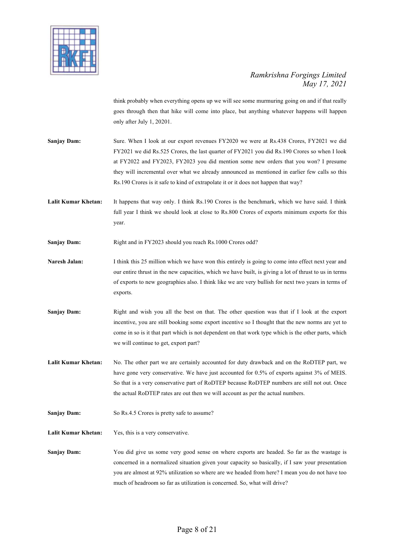

| think probably when everything opens up we will see some murmuring going on and if that really |
|------------------------------------------------------------------------------------------------|
| goes through then that hike will come into place, but anything whatever happens will happen    |
| only after July 1, 20201.                                                                      |

**Sanjay Dam:** Sure. When I look at our export revenues FY2020 we were at Rs.438 Crores, FY2021 we did FY2021 we did Rs.525 Crores, the last quarter of FY2021 you did Rs.190 Crores so when I look at FY2022 and FY2023, FY2023 you did mention some new orders that you won? I presume they will incremental over what we already announced as mentioned in earlier few calls so this Rs.190 Crores is it safe to kind of extrapolate it or it does not happen that way?

**Lalit Kumar Khetan:** It happens that way only. I think Rs.190 Crores is the benchmark, which we have said. I think full year I think we should look at close to Rs.800 Crores of exports minimum exports for this year.

**Sanjay Dam:** Right and in FY2023 should you reach Rs.1000 Crores odd?

**Naresh Jalan:** I think this 25 million which we have won this entirely is going to come into effect next year and our entire thrust in the new capacities, which we have built, is giving a lot of thrust to us in terms of exports to new geographies also. I think like we are very bullish for next two years in terms of exports.

**Sanjay Dam:** Right and wish you all the best on that. The other question was that if I look at the export incentive, you are still booking some export incentive so I thought that the new norms are yet to come in so is it that part which is not dependent on that work type which is the other parts, which we will continue to get, export part?

**Lalit Kumar Khetan:** No. The other part we are certainly accounted for duty drawback and on the RoDTEP part, we have gone very conservative. We have just accounted for 0.5% of exports against 3% of MEIS. So that is a very conservative part of RoDTEP because RoDTEP numbers are still not out. Once the actual RoDTEP rates are out then we will account as per the actual numbers.

**Sanjay Dam:** So Rs.4.5 Crores is pretty safe to assume?

**Lalit Kumar Khetan:** Yes, this is a very conservative.

**Sanjay Dam:** You did give us some very good sense on where exports are headed. So far as the wastage is concerned in a normalized situation given your capacity so basically, if I saw your presentation you are almost at 92% utilization so where are we headed from here? I mean you do not have too much of headroom so far as utilization is concerned. So, what will drive?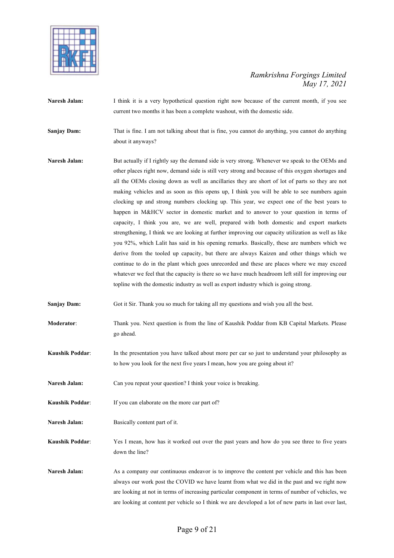

- **Naresh Jalan:** I think it is a very hypothetical question right now because of the current month, if you see current two months it has been a complete washout, with the domestic side. **Sanjay Dam:** That is fine. I am not talking about that is fine, you cannot do anything, you cannot do anything about it anyways? **Naresh Jalan:** But actually if I rightly say the demand side is very strong. Whenever we speak to the OEMs and other places right now, demand side is still very strong and because of this oxygen shortages and all the OEMs closing down as well as ancillaries they are short of lot of parts so they are not making vehicles and as soon as this opens up, I think you will be able to see numbers again clocking up and strong numbers clocking up. This year, we expect one of the best years to happen in M&HCV sector in domestic market and to answer to your question in terms of capacity, I think you are, we are well, prepared with both domestic and export markets strengthening, I think we are looking at further improving our capacity utilization as well as like you 92%, which Lalit has said in his opening remarks. Basically, these are numbers which we derive from the tooled up capacity, but there are always Kaizen and other things which we continue to do in the plant which goes unrecorded and these are places where we may exceed whatever we feel that the capacity is there so we have much headroom left still for improving our topline with the domestic industry as well as export industry which is going strong. **Sanjay Dam:** Got it Sir. Thank you so much for taking all my questions and wish you all the best. **Moderator**: Thank you. Next question is from the line of Kaushik Poddar from KB Capital Markets. Please go ahead. **Kaushik Poddar:** In the presentation you have talked about more per car so just to understand your philosophy as to how you look for the next five years I mean, how you are going about it? **Naresh Jalan:** Can you repeat your question? I think your voice is breaking. **Kaushik Poddar:** If you can elaborate on the more car part of? **Naresh Jalan:** Basically content part of it. **Kaushik Poddar**: Yes I mean, how has it worked out over the past years and how do you see three to five years down the line?
- **Naresh Jalan:** As a company our continuous endeavor is to improve the content per vehicle and this has been always our work post the COVID we have learnt from what we did in the past and we right now are looking at not in terms of increasing particular component in terms of number of vehicles, we are looking at content per vehicle so I think we are developed a lot of new parts in last over last,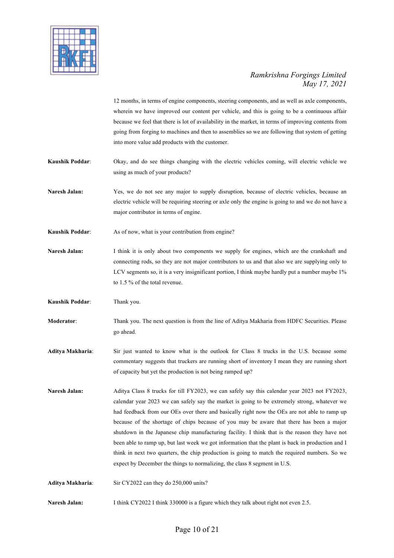

12 months, in terms of engine components, steering components, and as well as axle components, wherein we have improved our content per vehicle, and this is going to be a continuous affair because we feel that there is lot of availability in the market, in terms of improving contents from going from forging to machines and then to assemblies so we are following that system of getting into more value add products with the customer.

**Kaushik Poddar**: Okay, and do see things changing with the electric vehicles coming, will electric vehicle we using as much of your products?

Naresh Jalan: Yes, we do not see any major to supply disruption, because of electric vehicles, because an electric vehicle will be requiring steering or axle only the engine is going to and we do not have a major contributor in terms of engine.

**Kaushik Poddar:** As of now, what is your contribution from engine?

Naresh Jalan: I think it is only about two components we supply for engines, which are the crankshaft and connecting rods, so they are not major contributors to us and that also we are supplying only to LCV segments so, it is a very insignificant portion, I think maybe hardly put a number maybe 1% to 1.5 % of the total revenue.

**Kaushik Poddar**: Thank you.

**Moderator**: Thank you. The next question is from the line of Aditya Makharia from HDFC Securities. Please go ahead.

**Aditya Makharia**: Sir just wanted to know what is the outlook for Class 8 trucks in the U.S. because some commentary suggests that truckers are running short of inventory I mean they are running short of capacity but yet the production is not being ramped up?

Naresh Jalan: Aditya Class 8 trucks for till FY2023, we can safely say this calendar year 2023 not FY2023, calendar year 2023 we can safely say the market is going to be extremely strong, whatever we had feedback from our OEs over there and basically right now the OEs are not able to ramp up because of the shortage of chips because of you may be aware that there has been a major shutdown in the Japanese chip manufacturing facility. I think that is the reason they have not been able to ramp up, but last week we got information that the plant is back in production and I think in next two quarters, the chip production is going to match the required numbers. So we expect by December the things to normalizing, the class 8 segment in U.S.

**Aditya Makharia**: Sir CY2022 can they do 250,000 units?

**Naresh Jalan:** I think CY2022 I think 330000 is a figure which they talk about right not even 2.5.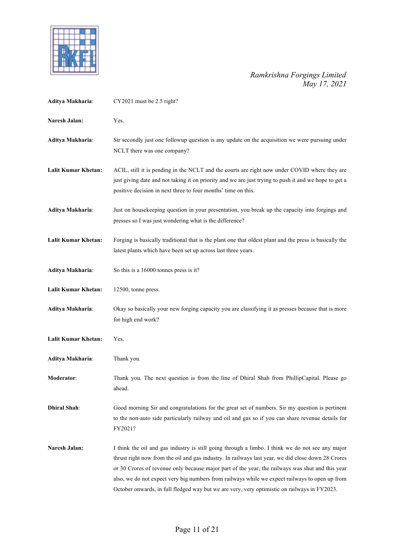

| Aditya Makharia:           | CY2021 must be 2.5 right?                                                                                                                                                                                                                                                                                                                                                                                                                                                                                    |
|----------------------------|--------------------------------------------------------------------------------------------------------------------------------------------------------------------------------------------------------------------------------------------------------------------------------------------------------------------------------------------------------------------------------------------------------------------------------------------------------------------------------------------------------------|
| Naresh Jalan:              | Yes.                                                                                                                                                                                                                                                                                                                                                                                                                                                                                                         |
| Aditya Makharia:           | Sir secondly just one followup question is any update on the acquisition we were pursuing under<br>NCLT there was one company?                                                                                                                                                                                                                                                                                                                                                                               |
| <b>Lalit Kumar Khetan:</b> | ACIL, still it is pending in the NCLT and the courts are right now under COVID where they are<br>just giving date and not taking it on priority and we are just trying to push it and we hope to get a<br>positive decision in next three to four months' time on this.                                                                                                                                                                                                                                      |
| Aditya Makharia:           | Just on housekeeping question in your presentation, you break up the capacity into forgings and<br>presses so I was just wondering what is the difference?                                                                                                                                                                                                                                                                                                                                                   |
| <b>Lalit Kumar Khetan:</b> | Forging is basically traditional that is the plant one that oldest plant and the press is basically the<br>latest plants which have been set up across last three years.                                                                                                                                                                                                                                                                                                                                     |
| Aditya Makharia:           | So this is a 16000 tonnes press is it?                                                                                                                                                                                                                                                                                                                                                                                                                                                                       |
| <b>Lalit Kumar Khetan:</b> | 12500, tonne press.                                                                                                                                                                                                                                                                                                                                                                                                                                                                                          |
| Aditya Makharia:           | Okay so basically your new forging capacity you are classifying it as presses because that is more<br>for high end work?                                                                                                                                                                                                                                                                                                                                                                                     |
| <b>Lalit Kumar Khetan:</b> | Yes.                                                                                                                                                                                                                                                                                                                                                                                                                                                                                                         |
| Aditya Makharia:           | Thank you.                                                                                                                                                                                                                                                                                                                                                                                                                                                                                                   |
| Moderator:                 | Thank you. The next question is from the line of Dhiral Shah from PhillipCapital. Please go<br>ahead.                                                                                                                                                                                                                                                                                                                                                                                                        |
| <b>Dhiral Shah:</b>        | Good morning Sir and congratulations for the great set of numbers. Sir my question is pertinent<br>to the non-auto side particularly railway and oil and gas so if you can share revenue details for<br>FY2021?                                                                                                                                                                                                                                                                                              |
| Naresh Jalan:              | I think the oil and gas industry is still going through a limbo. I think we do not see any major<br>thrust right now from the oil and gas industry. In railways last year, we did close down 28 Crores<br>or 30 Crores of revenue only because major part of the year, the railways was shut and this year<br>also, we do not expect very big numbers from railways while we expect railways to open up from<br>October onwards, in full fledged way but we are very, very optimistic on railways in FY2023. |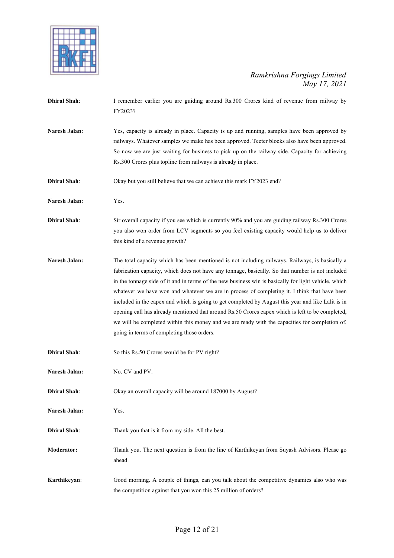

**Dhiral Shah**: I remember earlier you are guiding around Rs.300 Crores kind of revenue from railway by FY2023? **Naresh Jalan:** Yes, capacity is already in place. Capacity is up and running, samples have been approved by railways. Whatever samples we make has been approved. Teeter blocks also have been approved. So now we are just waiting for business to pick up on the railway side. Capacity for achieving Rs.300 Crores plus topline from railways is already in place. **Dhiral Shah**: Okay but you still believe that we can achieve this mark FY2023 end? **Naresh Jalan:** Yes. **Dhiral Shah**: Sir overall capacity if you see which is currently 90% and you are guiding railway Rs.300 Crores you also won order from LCV segments so you feel existing capacity would help us to deliver this kind of a revenue growth? **Naresh Jalan:** The total capacity which has been mentioned is not including railways. Railways, is basically a fabrication capacity, which does not have any tonnage, basically. So that number is not included in the tonnage side of it and in terms of the new business win is basically for light vehicle, which whatever we have won and whatever we are in process of completing it. I think that have been included in the capex and which is going to get completed by August this year and like Lalit is in opening call has already mentioned that around Rs.50 Crores capex which is left to be completed, we will be completed within this money and we are ready with the capacities for completion of, going in terms of completing those orders. **Dhiral Shah**: So this Rs.50 Crores would be for PV right? Naresh Jalan: No. CV and PV. **Dhiral Shah**: Okay an overall capacity will be around 187000 by August? **Naresh Jalan:** Yes. **Dhiral Shah**: Thank you that is it from my side. All the best. **Moderator:** Thank you. The next question is from the line of Karthikeyan from Suyash Advisors. Please go ahead. **Karthikeyan**: Good morning. A couple of things, can you talk about the competitive dynamics also who was the competition against that you won this 25 million of orders?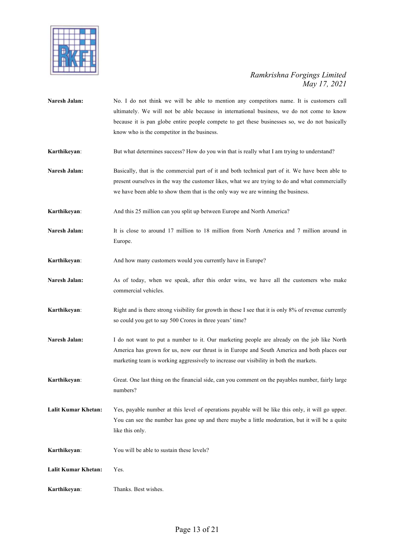

| Naresh Jalan:              | No. I do not think we will be able to mention any competitors name. It is customers call<br>ultimately. We will not be able because in international business, we do not come to know<br>because it is pan globe entire people compete to get these businesses so, we do not basically<br>know who is the competitor in the business. |
|----------------------------|---------------------------------------------------------------------------------------------------------------------------------------------------------------------------------------------------------------------------------------------------------------------------------------------------------------------------------------|
| Karthikeyan:               | But what determines success? How do you win that is really what I am trying to understand?                                                                                                                                                                                                                                            |
| Naresh Jalan:              | Basically, that is the commercial part of it and both technical part of it. We have been able to<br>present ourselves in the way the customer likes, what we are trying to do and what commercially<br>we have been able to show them that is the only way we are winning the business.                                               |
| Karthikeyan:               | And this 25 million can you split up between Europe and North America?                                                                                                                                                                                                                                                                |
| Naresh Jalan:              | It is close to around 17 million to 18 million from North America and 7 million around in<br>Europe.                                                                                                                                                                                                                                  |
| Karthikeyan:               | And how many customers would you currently have in Europe?                                                                                                                                                                                                                                                                            |
| Naresh Jalan:              | As of today, when we speak, after this order wins, we have all the customers who make<br>commercial vehicles.                                                                                                                                                                                                                         |
| Karthikeyan:               | Right and is there strong visibility for growth in these I see that it is only 8% of revenue currently<br>so could you get to say 500 Crores in three years' time?                                                                                                                                                                    |
| Naresh Jalan:              | I do not want to put a number to it. Our marketing people are already on the job like North<br>America has grown for us, now our thrust is in Europe and South America and both places our<br>marketing team is working aggressively to increase our visibility in both the markets.                                                  |
| Karthikeyan:               | Great. One last thing on the financial side, can you comment on the payables number, fairly large<br>numbers?                                                                                                                                                                                                                         |
| <b>Lalit Kumar Khetan:</b> | Yes, payable number at this level of operations payable will be like this only, it will go upper.<br>You can see the number has gone up and there maybe a little moderation, but it will be a quite<br>like this only.                                                                                                                |
| Karthikeyan:               | You will be able to sustain these levels?                                                                                                                                                                                                                                                                                             |
| <b>Lalit Kumar Khetan:</b> | Yes.                                                                                                                                                                                                                                                                                                                                  |
| Karthikeyan:               | Thanks. Best wishes.                                                                                                                                                                                                                                                                                                                  |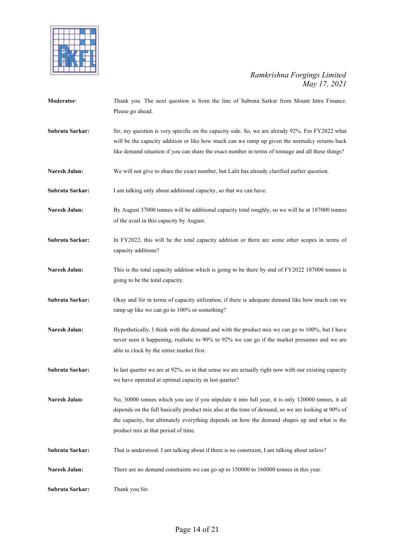

| Moderator:      | Thank you. The next question is from the line of Subrata Sarkar from Mount Intra Finance.<br>Please go ahead.                                                                                                                                                                                                                                  |
|-----------------|------------------------------------------------------------------------------------------------------------------------------------------------------------------------------------------------------------------------------------------------------------------------------------------------------------------------------------------------|
| Subrata Sarkar: | Sir, my question is very specific on the capacity side. So, we are already 92%. For FY2022 what<br>will be the capacity addition or like how much can we ramp up given the normalcy returns back<br>like demand situation if you can share the exact number in terms of tonnage and all these things?                                          |
| Naresh Jalan:   | We will not give to share the exact number, but Lalit has already clarified earlier question.                                                                                                                                                                                                                                                  |
| Subrata Sarkar: | I am talking only about additional capacity, so that we can have.                                                                                                                                                                                                                                                                              |
| Naresh Jalan:   | By August 37000 tonnes will be additional capacity total roughly, so we will be at 187000 tonnes<br>of the avail in this capacity by August.                                                                                                                                                                                                   |
| Subrata Sarkar: | In FY2022, this will be the total capacity addition or there are some other scopes in terms of<br>capacity additions?                                                                                                                                                                                                                          |
| Naresh Jalan:   | This is the total capacity addition which is going to be there by end of FY2022 187000 tonnes is<br>going to be the total capacity.                                                                                                                                                                                                            |
| Subrata Sarkar: | Okay and Sir in terms of capacity utilization, if there is adequate demand like how much can we<br>ramp up like we can go to 100% or something?                                                                                                                                                                                                |
| Naresh Jalan:   | Hypothetically, I think with the demand and with the product mix we can go to 100%, but I have<br>never seen it happening, realistic to 90% to 92% we can go if the market presumes and we are<br>able to clock by the entire market first.                                                                                                    |
| Subrata Sarkar: | In last quarter we are at 92%, so in that sense we are actually right now with our existing capacity<br>we have operated at optimal capacity in last quarter?                                                                                                                                                                                  |
| Naresh Jalan:   | No, 30000 tonnes which you see if you stipulate it into full year, it is only 120000 tonnes, it all<br>depends on the full basically product mix also at the time of demand, so we are looking at 90% of<br>the capacity, but ultimately everything depends on how the demand shapes up and what is the<br>product mix at that period of time. |
| Subrata Sarkar: | That is understood. I am talking about if there is no constraint, I am talking about unless?                                                                                                                                                                                                                                                   |
| Naresh Jalan:   | There are no demand constraints we can go up to 150000 to 160000 tonnes in this year.                                                                                                                                                                                                                                                          |
| Subrata Sarkar: | Thank you Sir.                                                                                                                                                                                                                                                                                                                                 |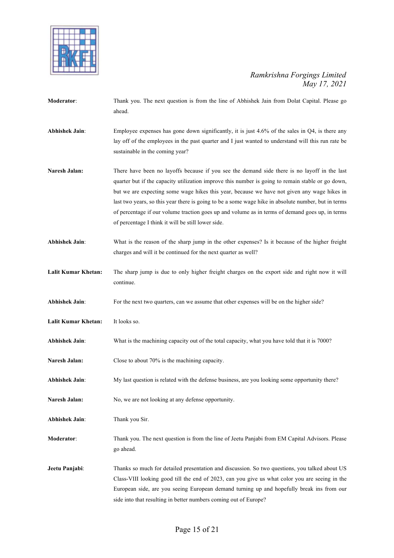

**Moderator:** Thank you. The next question is from the line of Abhishek Jain from Dolat Capital. Please go ahead. **Abhishek Jain:** Employee expenses has gone down significantly, it is just 4.6% of the sales in Q4, is there any lay off of the employees in the past quarter and I just wanted to understand will this run rate be sustainable in the coming year? **Naresh Jalan:** There have been no layoffs because if you see the demand side there is no layoff in the last quarter but if the capacity utilization improve this number is going to remain stable or go down, but we are expecting some wage hikes this year, because we have not given any wage hikes in last two years, so this year there is going to be a some wage hike in absolute number, but in terms of percentage if our volume traction goes up and volume as in terms of demand goes up, in terms of percentage I think it will be still lower side. **Abhishek Jain**: What is the reason of the sharp jump in the other expenses? Is it because of the higher freight charges and will it be continued for the next quarter as well? **Lalit Kumar Khetan:** The sharp jump is due to only higher freight charges on the export side and right now it will continue. **Abhishek Jain:** For the next two quarters, can we assume that other expenses will be on the higher side? **Lalit Kumar Khetan:** It looks so. **Abhishek Jain**: What is the machining capacity out of the total capacity, what you have told that it is 7000? **Naresh Jalan:** Close to about 70% is the machining capacity. **Abhishek Jain**: My last question is related with the defense business, are you looking some opportunity there? Naresh Jalan: No, we are not looking at any defense opportunity. **Abhishek Jain**: Thank you Sir. **Moderator**: Thank you. The next question is from the line of Jeetu Panjabi from EM Capital Advisors. Please go ahead. **Jeetu Panjabi:** Thanks so much for detailed presentation and discussion. So two questions, you talked about US Class-VIII looking good till the end of 2023, can you give us what color you are seeing in the European side, are you seeing European demand turning up and hopefully break ins from our side into that resulting in better numbers coming out of Europe?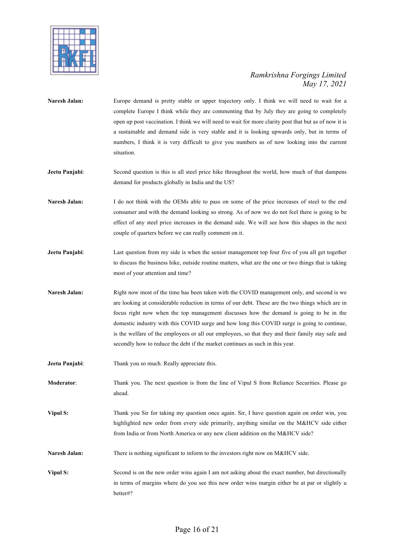

- Naresh Jalan: Europe demand is pretty stable or upper trajectory only. I think we will need to wait for a complete Europe I think while they are commenting that by July they are going to completely open up post vaccination. I think we will need to wait for more clarity post that but as of now it is a sustainable and demand side is very stable and it is looking upwards only, but in terms of numbers, I think it is very difficult to give you numbers as of now looking into the current situation.
- **Jeetu Panjabi:** Second question is this is all steel price hike throughout the world, how much of that dampens demand for products globally in India and the US?
- Naresh Jalan: I do not think with the OEMs able to pass on some of the price increases of steel to the end consumer and with the demand looking so strong. As of now we do not feel there is going to be effect of any steel price increases in the demand side. We will see how this shapes in the next couple of quarters before we can really comment on it.
- **Jeetu Panjabi**: Last question from my side is when the senior management top four five of you all get together to discuss the business hike, outside routine matters, what are the one or two things that is taking most of your attention and time?
- **Naresh Jalan:** Right now most of the time has been taken with the COVID management only, and second is we are looking at considerable reduction in terms of our debt. These are the two things which are in focus right now when the top management discusses how the demand is going to be in the domestic industry with this COVID surge and how long this COVID surge is going to continue, is the welfare of the employees or all our employees, so that they and their family stay safe and secondly how to reduce the debt if the market continues as such in this year.
- **Jeetu Panjabi**: Thank you so much. Really appreciate this.
- **Moderator:** Thank you. The next question is from the line of Vipul S from Reliance Securities. Please go ahead.
- **Vipul S:** Thank you Sir for taking my question once again. Sir, I have question again on order win, you highlighted new order from every side primarily, anything similar on the M&HCV side either from India or from North America or any new client addition on the M&HCV side?
- Naresh Jalan: There is nothing significant to inform to the investors right now on M&HCV side.
- **Vipul S:** Second is on the new order wins again I am not asking about the exact number, but directionally in terms of margins where do you see this new order wins margin either be at par or slightly u better#?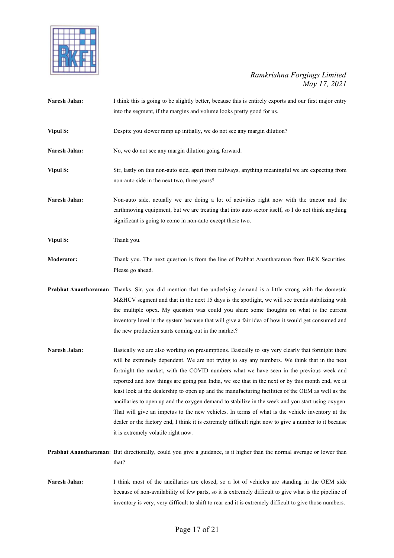

- **Naresh Jalan:** I think this is going to be slightly better, because this is entirely exports and our first major entry into the segment, if the margins and volume looks pretty good for us.
- **Vipul S:** Despite you slower ramp up initially, we do not see any margin dilution?
- Naresh Jalan: No, we do not see any margin dilution going forward.
- **Vipul S:** Sir, lastly on this non-auto side, apart from railways, anything meaningful we are expecting from non-auto side in the next two, three years?

Naresh Jalan: Non-auto side, actually we are doing a lot of activities right now with the tractor and the earthmoving equipment, but we are treating that into auto sector itself, so I do not think anything significant is going to come in non-auto except these two.

**Vipul S:** Thank you.

**Moderator:** Thank you. The next question is from the line of Prabhat Anantharaman from B&K Securities. Please go ahead.

**Prabhat Anantharaman**: Thanks. Sir, you did mention that the underlying demand is a little strong with the domestic M&HCV segment and that in the next 15 days is the spotlight, we will see trends stabilizing with the multiple opex. My question was could you share some thoughts on what is the current inventory level in the system because that will give a fair idea of how it would get consumed and the new production starts coming out in the market?

- **Naresh Jalan:** Basically we are also working on presumptions. Basically to say very clearly that fortnight there will be extremely dependent. We are not trying to say any numbers. We think that in the next fortnight the market, with the COVID numbers what we have seen in the previous week and reported and how things are going pan India, we see that in the next or by this month end, we at least look at the dealership to open up and the manufacturing facilities of the OEM as well as the ancillaries to open up and the oxygen demand to stabilize in the week and you start using oxygen. That will give an impetus to the new vehicles. In terms of what is the vehicle inventory at the dealer or the factory end, I think it is extremely difficult right now to give a number to it because it is extremely volatile right now.
- **Prabhat Anantharaman**: But directionally, could you give a guidance, is it higher than the normal average or lower than that?
- Naresh Jalan: I think most of the ancillaries are closed, so a lot of vehicles are standing in the OEM side because of non-availability of few parts, so it is extremely difficult to give what is the pipeline of inventory is very, very difficult to shift to rear end it is extremely difficult to give those numbers.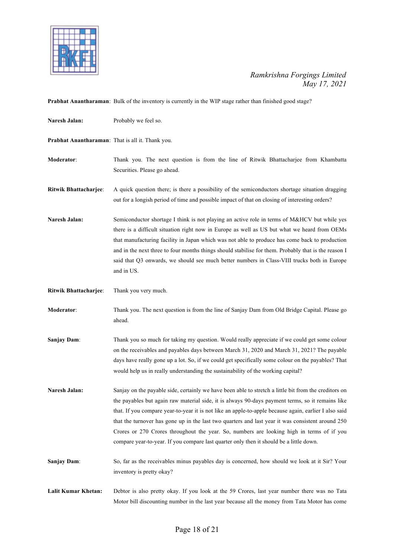

**Prabhat Anantharaman**: Bulk of the inventory is currently in the WIP stage rather than finished good stage?

| Naresh Jalan:                                    | Probably we feel so.                                                                                                                                                                                                                                                                                                                                                                                                                                                                                                                                                                                            |
|--------------------------------------------------|-----------------------------------------------------------------------------------------------------------------------------------------------------------------------------------------------------------------------------------------------------------------------------------------------------------------------------------------------------------------------------------------------------------------------------------------------------------------------------------------------------------------------------------------------------------------------------------------------------------------|
| Prabhat Anantharaman: That is all it. Thank you. |                                                                                                                                                                                                                                                                                                                                                                                                                                                                                                                                                                                                                 |
| Moderator:                                       | Thank you. The next question is from the line of Ritwik Bhattacharjee from Khambatta<br>Securities. Please go ahead.                                                                                                                                                                                                                                                                                                                                                                                                                                                                                            |
| Ritwik Bhattacharjee:                            | A quick question there; is there a possibility of the semiconductors shortage situation dragging<br>out for a longish period of time and possible impact of that on closing of interesting orders?                                                                                                                                                                                                                                                                                                                                                                                                              |
| Naresh Jalan:                                    | Semiconductor shortage I think is not playing an active role in terms of M&HCV but while yes<br>there is a difficult situation right now in Europe as well as US but what we heard from OEMs<br>that manufacturing facility in Japan which was not able to produce has come back to production<br>and in the next three to four months things should stabilise for them. Probably that is the reason I<br>said that Q3 onwards, we should see much better numbers in Class-VIII trucks both in Europe<br>and in US.                                                                                             |
| Ritwik Bhattacharjee:                            | Thank you very much.                                                                                                                                                                                                                                                                                                                                                                                                                                                                                                                                                                                            |
| Moderator:                                       | Thank you. The next question is from the line of Sanjay Dam from Old Bridge Capital. Please go<br>ahead.                                                                                                                                                                                                                                                                                                                                                                                                                                                                                                        |
| Sanjay Dam:                                      | Thank you so much for taking my question. Would really appreciate if we could get some colour<br>on the receivables and payables days between March 31, 2020 and March 31, 2021? The payable<br>days have really gone up a lot. So, if we could get specifically some colour on the payables? That<br>would help us in really understanding the sustainability of the working capital?                                                                                                                                                                                                                          |
| Naresh Jalan:                                    | Sanjay on the payable side, certainly we have been able to stretch a little bit from the creditors on<br>the payables but again raw material side, it is always 90-days payment terms, so it remains like<br>that. If you compare year-to-year it is not like an apple-to-apple because again, earlier I also said<br>that the turnover has gone up in the last two quarters and last year it was consistent around 250<br>Crores or 270 Crores throughout the year. So, numbers are looking high in terms of if you<br>compare year-to-year. If you compare last quarter only then it should be a little down. |
| Sanjay Dam:                                      | So, far as the receivables minus payables day is concerned, how should we look at it Sir? Your<br>inventory is pretty okay?                                                                                                                                                                                                                                                                                                                                                                                                                                                                                     |
| <b>Lalit Kumar Khetan:</b>                       | Debtor is also pretty okay. If you look at the 59 Crores, last year number there was no Tata<br>Motor bill discounting number in the last year because all the money from Tata Motor has come                                                                                                                                                                                                                                                                                                                                                                                                                   |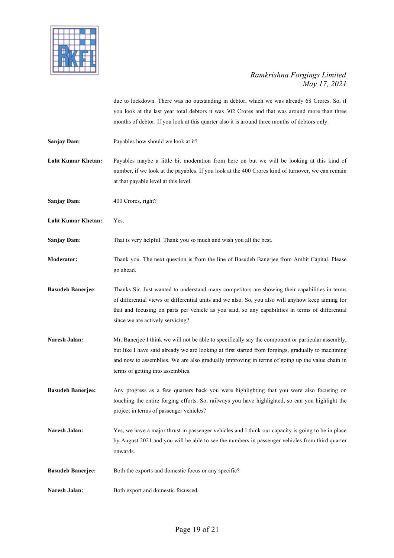

due to lockdown. There was no outstanding in debtor, which we was already 68 Crores. So, if you look at the last year total debtors it was 302 Crores and that was around more than three months of debtor. If you look at this quarter also it is around three months of debtors only.

**Sanjay Dam**: Payables how should we look at it?

**Lalit Kumar Khetan:** Payables maybe a little bit moderation from here on but we will be looking at this kind of number, if we look at the payables. If you look at the 400 Crores kind of turnover, we can remain at that payable level at this level.

**Sanjay Dam:** 400 Crores, right?

**Lalit Kumar Khetan:** Yes.

**Sanjay Dam:** That is very helpful. Thank you so much and wish you all the best.

**Moderator:** Thank you. The next question is from the line of Basudeb Banerjee from Ambit Capital. Please go ahead.

**Basudeb Banerjee**: Thanks Sir. Just wanted to understand many competitors are showing their capabilities in terms of differential views or differential units and we also. So, you also will anyhow keep aiming for that and focusing on parts per vehicle as you said, so any capabilities in terms of differential since we are actively servicing?

**Naresh Jalan:** Mr. Banerjee I think we will not be able to specifically say the component or particular assembly, but like I have said already we are looking at first started from forgings, gradually to machining and now to assemblies. We are also gradually improving in terms of going up the value chain in terms of getting into assemblies.

**Basudeb Banerjee:** Any progress as a few quarters back you were highlighting that you were also focusing on touching the entire forging efforts. So, railways you have highlighted, so can you highlight the project in terms of passenger vehicles?

Naresh Jalan: Yes, we have a major thrust in passenger vehicles and I think our capacity is going to be in place by August 2021 and you will be able to see the numbers in passenger vehicles from third quarter onwards.

**Basudeb Banerjee:** Both the exports and domestic focus or any specific?

Naresh Jalan: Both export and domestic focussed.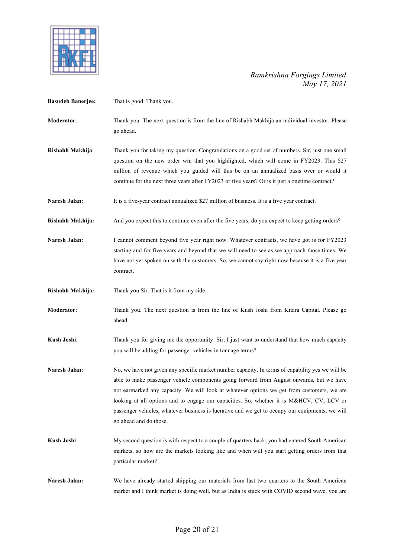

| <b>Basudeb Banerjee:</b> | That is good. Thank you.                                                                                                                                                                                                                                                                                                                                                                                                                                                                                            |
|--------------------------|---------------------------------------------------------------------------------------------------------------------------------------------------------------------------------------------------------------------------------------------------------------------------------------------------------------------------------------------------------------------------------------------------------------------------------------------------------------------------------------------------------------------|
| Moderator:               | Thank you. The next question is from the line of Rishabh Makhija an individual investor. Please<br>go ahead.                                                                                                                                                                                                                                                                                                                                                                                                        |
| Rishabh Makhija:         | Thank you for taking my question. Congratulations on a good set of numbers. Sir, just one small<br>question on the new order win that you highlighted, which will come in FY2023. This \$27<br>million of revenue which you guided will this be on an annualized basis over or would it<br>continue for the next three years after FY2023 or five years? Or is it just a onetime contract?                                                                                                                          |
| Naresh Jalan:            | It is a five-year contract annualized \$27 million of business. It is a five year contract.                                                                                                                                                                                                                                                                                                                                                                                                                         |
| Rishabh Makhija:         | And you expect this to continue even after the five years, do you expect to keep getting orders?                                                                                                                                                                                                                                                                                                                                                                                                                    |
| Naresh Jalan:            | I cannot comment beyond five year right now. Whatever contracts, we have got is for FY2023<br>starting and for five years and beyond that we will need to see as we approach those times. We<br>have not yet spoken on with the customers. So, we cannot say right now because it is a five year<br>contract.                                                                                                                                                                                                       |
| Rishabh Makhija:         | Thank you Sir. That is it from my side.                                                                                                                                                                                                                                                                                                                                                                                                                                                                             |
| Moderator:               | Thank you. The next question is from the line of Kush Joshi from Kitara Capital. Please go<br>ahead.                                                                                                                                                                                                                                                                                                                                                                                                                |
| Kush Joshi:              | Thank you for giving me the opportunity. Sir, I just want to understand that how much capacity<br>you will be adding for passenger vehicles in tonnage terms?                                                                                                                                                                                                                                                                                                                                                       |
| Naresh Jalan:            | No, we have not given any specific market number capacity. In terms of capability yes we will be<br>able to make passenger vehicle components going forward from August onwards, but we have<br>not earmarked any capacity. We will look at whatever options we get from customers, we are<br>looking at all options and to engage our capacities. So, whether it is M&HCV, CV, LCV or<br>passenger vehicles, whatever business is lucrative and we get to occupy our equipments, we will<br>go ahead and do those. |
| Kush Joshi:              | My second question is with respect to a couple of quarters back, you had entered South American<br>markets, so how are the markets looking like and when will you start getting orders from that<br>particular market?                                                                                                                                                                                                                                                                                              |
| Naresh Jalan:            | We have already started shipping our materials from last two quarters to the South American<br>market and I think market is doing well, but as India is stuck with COVID second wave, you are                                                                                                                                                                                                                                                                                                                       |